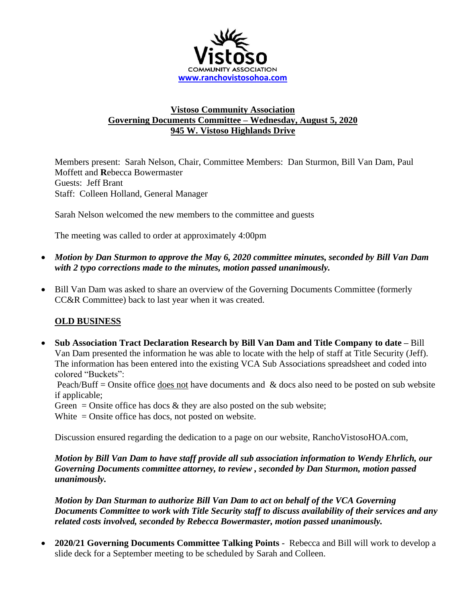

## **Vistoso Community Association Governing Documents Committee – Wednesday, August 5, 2020 945 W. Vistoso Highlands Drive**

Members present: Sarah Nelson, Chair, Committee Members: Dan Sturmon, Bill Van Dam, Paul Moffett and **R**ebecca Bowermaster Guests: Jeff Brant Staff: Colleen Holland, General Manager

Sarah Nelson welcomed the new members to the committee and guests

The meeting was called to order at approximately 4:00pm

- *Motion by Dan Sturmon to approve the May 6, 2020 committee minutes, seconded by Bill Van Dam with 2 typo corrections made to the minutes, motion passed unanimously.*
- Bill Van Dam was asked to share an overview of the Governing Documents Committee (formerly CC&R Committee) back to last year when it was created.

## **OLD BUSINESS**

• **Sub Association Tract Declaration Research by Bill Van Dam and Title Company to date –** Bill Van Dam presented the information he was able to locate with the help of staff at Title Security (Jeff). The information has been entered into the existing VCA Sub Associations spreadsheet and coded into colored "Buckets":

Peach/Buff = Onsite office does not have documents and  $\&$  docs also need to be posted on sub website if applicable;

Green = Onsite office has docs  $\&$  they are also posted on the sub website;

White = Onsite office has docs, not posted on website.

Discussion ensured regarding the dedication to a page on our website, RanchoVistosoHOA.com,

*Motion by Bill Van Dam to have staff provide all sub association information to Wendy Ehrlich, our Governing Documents committee attorney, to review , seconded by Dan Sturmon, motion passed unanimously.*

*Motion by Dan Sturman to authorize Bill Van Dam to act on behalf of the VCA Governing Documents Committee to work with Title Security staff to discuss availability of their services and any related costs involved, seconded by Rebecca Bowermaster, motion passed unanimously.*

• **2020/21 Governing Documents Committee Talking Points** - Rebecca and Bill will work to develop a slide deck for a September meeting to be scheduled by Sarah and Colleen.